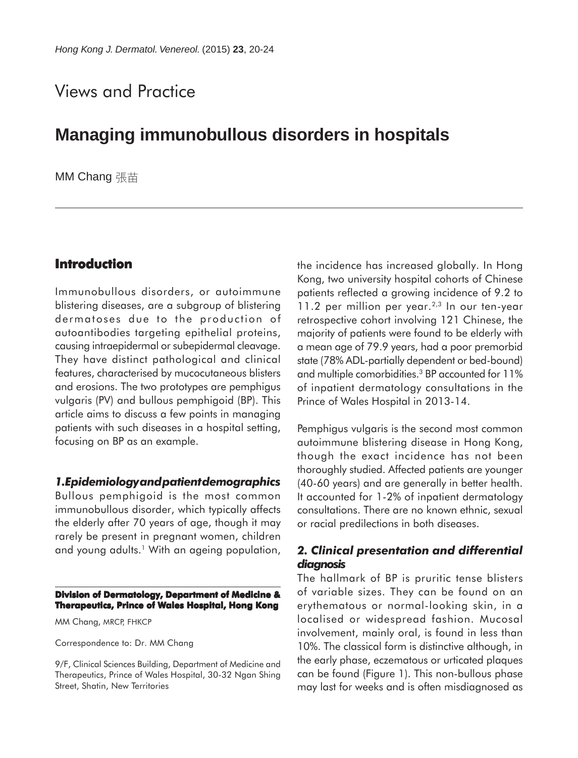# Views and Practice

## **Managing immunobullous disorders in hospitals**

MM Chang 張苗

## **Introduction**

Immunobullous disorders, or autoimmune blistering diseases, are a subgroup of blistering dermatoses due to the production of autoantibodies targeting epithelial proteins, causing intraepidermal or subepidermal cleavage. They have distinct pathological and clinical features, characterised by mucocutaneous blisters and erosions. The two prototypes are pemphigus vulgaris (PV) and bullous pemphigoid (BP). This article aims to discuss a few points in managing patients with such diseases in a hospital setting, focusing on BP as an example.

### *1.Epidemiology and patient demographics*

Bullous pemphigoid is the most common immunobullous disorder, which typically affects the elderly after 70 years of age, though it may rarely be present in pregnant women, children and young adults.<sup>1</sup> With an ageing population,

#### **Division of Dermatology, Department of Medicine & Therapeutics, Prince of Wales Hospital, Hong Kong**

MM Chang, MRCP, FHKCP

Correspondence to: Dr. MM Chang

9/F, Clinical Sciences Building, Department of Medicine and Therapeutics, Prince of Wales Hospital, 30-32 Ngan Shing Street, Shatin, New Territories

the incidence has increased globally. In Hong Kong, two university hospital cohorts of Chinese patients reflected a growing incidence of 9.2 to 11.2 per million per year. $2,3$  In our ten-year retrospective cohort involving 121 Chinese, the majority of patients were found to be elderly with a mean age of 79.9 years, had a poor premorbid state (78% ADL-partially dependent or bed-bound) and multiple comorbidities.3 BP accounted for 11% of inpatient dermatology consultations in the Prince of Wales Hospital in 2013-14.

Pemphigus vulgaris is the second most common autoimmune blistering disease in Hong Kong, though the exact incidence has not been thoroughly studied. Affected patients are younger (40-60 years) and are generally in better health. It accounted for 1-2% of inpatient dermatology consultations. There are no known ethnic, sexual or racial predilections in both diseases.

### *2. Clinical presentation and differential diagnosis*

The hallmark of BP is pruritic tense blisters of variable sizes. They can be found on an erythematous or normal-looking skin, in a localised or widespread fashion. Mucosal involvement, mainly oral, is found in less than 10%. The classical form is distinctive although, in the early phase, eczematous or urticated plaques can be found (Figure 1). This non-bullous phase may last for weeks and is often misdiagnosed as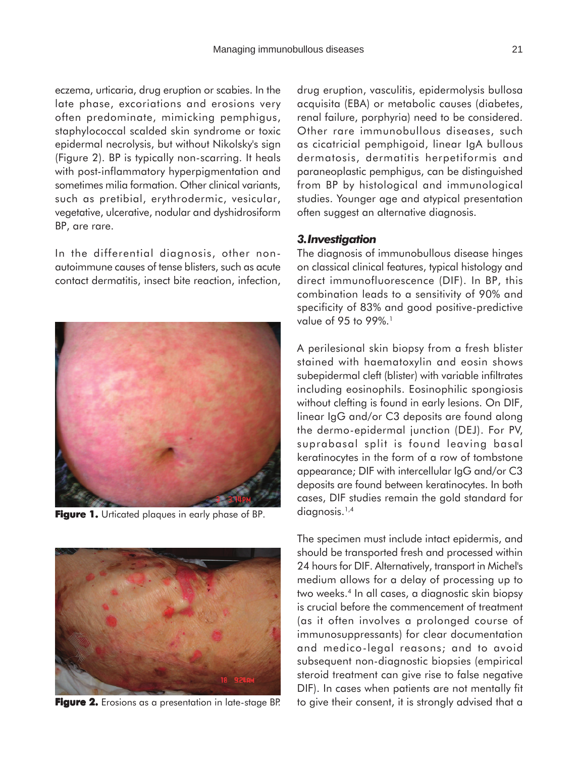eczema, urticaria, drug eruption or scabies. In the late phase, excoriations and erosions very often predominate, mimicking pemphigus, staphylococcal scalded skin syndrome or toxic epidermal necrolysis, but without Nikolsky's sign (Figure 2). BP is typically non-scarring. It heals with post-inflammatory hyperpigmentation and sometimes milia formation. Other clinical variants, such as pretibial, erythrodermic, vesicular, vegetative, ulcerative, nodular and dyshidrosiform BP, are rare.

In the differential diagnosis, other nonautoimmune causes of tense blisters, such as acute contact dermatitis, insect bite reaction, infection,



Figure 1. Urticated plaques in early phase of BP.



**Figure 2.** Erosions as a presentation in late-stage BP.

drug eruption, vasculitis, epidermolysis bullosa acquisita (EBA) or metabolic causes (diabetes, renal failure, porphyria) need to be considered. Other rare immunobullous diseases, such as cicatricial pemphigoid, linear IgA bullous dermatosis, dermatitis herpetiformis and paraneoplastic pemphigus, can be distinguished from BP by histological and immunological studies. Younger age and atypical presentation often suggest an alternative diagnosis.

#### *3. Investigation*

The diagnosis of immunobullous disease hinges on classical clinical features, typical histology and direct immunofluorescence (DIF). In BP, this combination leads to a sensitivity of 90% and specificity of 83% and good positive-predictive value of 95 to 99%.<sup>1</sup>

A perilesional skin biopsy from a fresh blister stained with haematoxylin and eosin shows subepidermal cleft (blister) with variable infiltrates including eosinophils. Eosinophilic spongiosis without clefting is found in early lesions. On DIF, linear IgG and/or C3 deposits are found along the dermo-epidermal junction (DEJ). For PV, suprabasal split is found leaving basal keratinocytes in the form of a row of tombstone appearance; DIF with intercellular IgG and/or C3 deposits are found between keratinocytes. In both cases, DIF studies remain the gold standard for diagnosis.<sup>1,4</sup>

The specimen must include intact epidermis, and should be transported fresh and processed within 24 hours for DIF. Alternatively, transport in Michel's medium allows for a delay of processing up to two weeks.4 In all cases, a diagnostic skin biopsy is crucial before the commencement of treatment (as it often involves a prolonged course of immunosuppressants) for clear documentation and medico-legal reasons; and to avoid subsequent non-diagnostic biopsies (empirical steroid treatment can give rise to false negative DIF). In cases when patients are not mentally fit to give their consent, it is strongly advised that a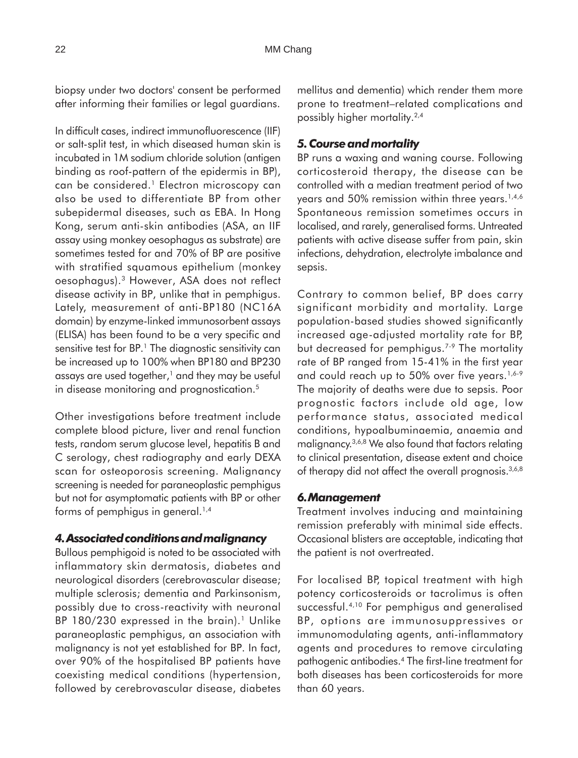biopsy under two doctors' consent be performed after informing their families or legal guardians.

In difficult cases, indirect immunofluorescence (IIF) or salt-split test, in which diseased human skin is incubated in 1M sodium chloride solution (antigen binding as roof-pattern of the epidermis in BP), can be considered.<sup>1</sup> Electron microscopy can also be used to differentiate BP from other subepidermal diseases, such as EBA. In Hong Kong, serum anti-skin antibodies (ASA, an IIF assay using monkey oesophagus as substrate) are sometimes tested for and 70% of BP are positive with stratified squamous epithelium (monkey oesophagus).3 However, ASA does not reflect disease activity in BP, unlike that in pemphigus. Lately, measurement of anti-BP180 (NC16A domain) by enzyme-linked immunosorbent assays (ELISA) has been found to be a very specific and sensitive test for BP.<sup>1</sup> The diagnostic sensitivity can be increased up to 100% when BP180 and BP230 assays are used together, $1$  and they may be useful in disease monitoring and prognostication.<sup>5</sup>

Other investigations before treatment include complete blood picture, liver and renal function tests, random serum glucose level, hepatitis B and C serology, chest radiography and early DEXA scan for osteoporosis screening. Malignancy screening is needed for paraneoplastic pemphigus but not for asymptomatic patients with BP or other forms of pemphigus in general.<sup>1,4</sup>

#### *4. Associated conditions and malignancy*

Bullous pemphigoid is noted to be associated with inflammatory skin dermatosis, diabetes and neurological disorders (cerebrovascular disease; multiple sclerosis; dementia and Parkinsonism, possibly due to cross-reactivity with neuronal BP  $180/230$  expressed in the brain).<sup>1</sup> Unlike paraneoplastic pemphigus, an association with malignancy is not yet established for BP. In fact, over 90% of the hospitalised BP patients have coexisting medical conditions (hypertension, followed by cerebrovascular disease, diabetes mellitus and dementia) which render them more prone to treatment–related complications and possibly higher mortality.2,4

## *5. Course and mortality*

BP runs a waxing and waning course. Following corticosteroid therapy, the disease can be controlled with a median treatment period of two years and 50% remission within three years.<sup>1,4,6</sup> Spontaneous remission sometimes occurs in localised, and rarely, generalised forms. Untreated patients with active disease suffer from pain, skin infections, dehydration, electrolyte imbalance and sepsis.

Contrary to common belief, BP does carry significant morbidity and mortality. Large population-based studies showed significantly increased age-adjusted mortality rate for BP, but decreased for pemphigus.<sup>7-9</sup> The mortality rate of BP ranged from 15-41% in the first year and could reach up to 50% over five years.<sup>1,6-9</sup> The majority of deaths were due to sepsis. Poor prognostic factors include old age, low performance status, associated medical conditions, hypoalbuminaemia, anaemia and malignancy.3,6,8 We also found that factors relating to clinical presentation, disease extent and choice of therapy did not affect the overall prognosis.<sup>3,6,8</sup>

#### *6. Management*

Treatment involves inducing and maintaining remission preferably with minimal side effects. Occasional blisters are acceptable, indicating that the patient is not overtreated.

For localised BP, topical treatment with high potency corticosteroids or tacrolimus is often successful.4,10 For pemphigus and generalised BP, options are immunosuppressives or immunomodulating agents, anti-inflammatory agents and procedures to remove circulating pathogenic antibodies.4 The first-line treatment for both diseases has been corticosteroids for more than 60 years.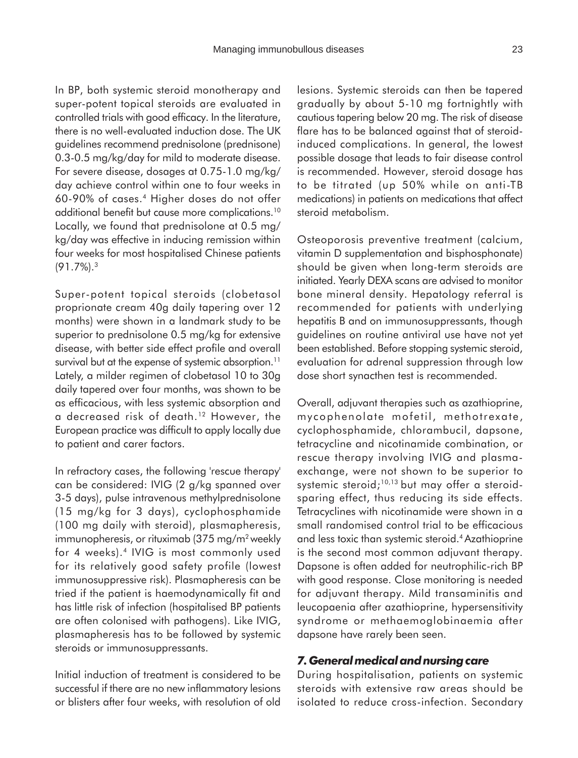In BP, both systemic steroid monotherapy and super-potent topical steroids are evaluated in controlled trials with good efficacy. In the literature, there is no well-evaluated induction dose. The UK guidelines recommend prednisolone (prednisone) 0.3-0.5 mg/kg/day for mild to moderate disease. For severe disease, dosages at 0.75-1.0 mg/kg/ day achieve control within one to four weeks in 60-90% of cases.4 Higher doses do not offer additional benefit but cause more complications.10 Locally, we found that prednisolone at 0.5 mg/ kg/day was effective in inducing remission within four weeks for most hospitalised Chinese patients (91.7%).3

Super-potent topical steroids (clobetasol proprionate cream 40g daily tapering over 12 months) were shown in a landmark study to be superior to prednisolone 0.5 mg/kg for extensive disease, with better side effect profile and overall survival but at the expense of systemic absorption.<sup>11</sup> Lately, a milder regimen of clobetasol 10 to 30g daily tapered over four months, was shown to be as efficacious, with less systemic absorption and a decreased risk of death.12 However, the European practice was difficult to apply locally due to patient and carer factors.

In refractory cases, the following 'rescue therapy' can be considered: IVIG (2 g/kg spanned over 3-5 days), pulse intravenous methylprednisolone (15 mg/kg for 3 days), cyclophosphamide (100 mg daily with steroid), plasmapheresis, immunopheresis, or rituximab (375 mg/m<sup>2</sup> weekly for 4 weeks).<sup>4</sup> IVIG is most commonly used for its relatively good safety profile (lowest immunosuppressive risk). Plasmapheresis can be tried if the patient is haemodynamically fit and has little risk of infection (hospitalised BP patients are often colonised with pathogens). Like IVIG, plasmapheresis has to be followed by systemic steroids or immunosuppressants.

Initial induction of treatment is considered to be successful if there are no new inflammatory lesions or blisters after four weeks, with resolution of old lesions. Systemic steroids can then be tapered gradually by about 5-10 mg fortnightly with cautious tapering below 20 mg. The risk of disease flare has to be balanced against that of steroidinduced complications. In general, the lowest possible dosage that leads to fair disease control is recommended. However, steroid dosage has to be titrated (up 50% while on anti-TB medications) in patients on medications that affect steroid metabolism.

Osteoporosis preventive treatment (calcium, vitamin D supplementation and bisphosphonate) should be given when long-term steroids are initiated. Yearly DEXA scans are advised to monitor bone mineral density. Hepatology referral is recommended for patients with underlying hepatitis B and on immunosuppressants, though guidelines on routine antiviral use have not yet been established. Before stopping systemic steroid, evaluation for adrenal suppression through low dose short synacthen test is recommended.

Overall, adjuvant therapies such as azathioprine, mycophenolate mofetil, methotrexate, cyclophosphamide, chlorambucil, dapsone, tetracycline and nicotinamide combination, or rescue therapy involving IVIG and plasmaexchange, were not shown to be superior to systemic steroid;<sup>10,13</sup> but may offer a steroidsparing effect, thus reducing its side effects. Tetracyclines with nicotinamide were shown in a small randomised control trial to be efficacious and less toxic than systemic steroid.4 Azathioprine is the second most common adjuvant therapy. Dapsone is often added for neutrophilic-rich BP with good response. Close monitoring is needed for adjuvant therapy. Mild transaminitis and leucopaenia after azathioprine, hypersensitivity syndrome or methaemoglobinaemia after dapsone have rarely been seen.

## *7. General medical and nursing care*

During hospitalisation, patients on systemic steroids with extensive raw areas should be isolated to reduce cross-infection. Secondary